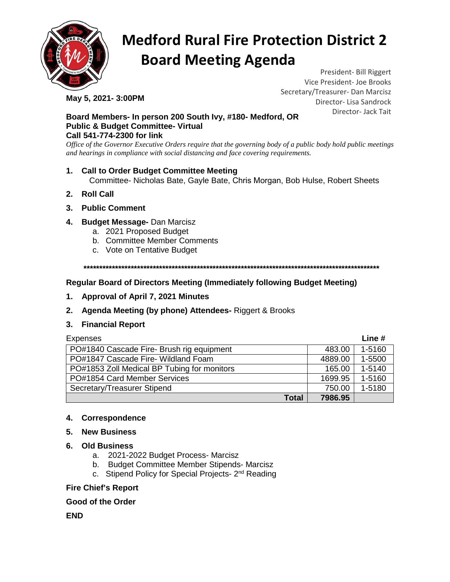

# **Medford Rural Fire Protection District 2 Board Meeting Agenda**

**May 5, 2021- 3:00PM** 

President- Bill Riggert Vice President- Joe Brooks Secretary/Treasurer- Dan Marcisz Director- Lisa Sandrock Director- Jack Tait

#### **Board Members- In person 200 South Ivy, #180- Medford, OR Public & Budget Committee- Virtual Call 541-774-2300 for link**

*Office of the Governor Executive Orders require that the governing body of a public body hold public meetings and hearings in compliance with social distancing and face covering requirements.*

## **1. Call to Order Budget Committee Meeting** Committee- Nicholas Bate, Gayle Bate, Chris Morgan, Bob Hulse, Robert Sheets

- **2. Roll Call**
- **3. Public Comment**
- **4. Budget Message-** Dan Marcisz
	- a. 2021 Proposed Budget
	- b. Committee Member Comments
	- c. Vote on Tentative Budget

**\*\*\*\*\*\*\*\*\*\*\*\*\*\*\*\*\*\*\*\*\*\*\*\*\*\*\*\*\*\*\*\*\*\*\*\*\*\*\*\*\*\*\*\*\*\*\*\*\*\*\*\*\*\*\*\*\*\*\*\*\*\*\*\*\*\*\*\*\*\*\*\*\*\*\*\*\*\*\*\*\*\*\*\*\*\*\*\*\*\*\*\*\*\***

## **Regular Board of Directors Meeting (Immediately following Budget Meeting)**

- **1. Approval of April 7, 2021 Minutes**
- **2. Agenda Meeting (by phone) Attendees-** Riggert & Brooks
- **3. Financial Report**

| <b>Expenses</b>                             |         | Line #     |
|---------------------------------------------|---------|------------|
| PO#1840 Cascade Fire- Brush rig equipment   | 483.00  | 1-5160     |
| PO#1847 Cascade Fire- Wildland Foam         | 4889.00 | 1-5500     |
| PO#1853 Zoll Medical BP Tubing for monitors | 165.00  | $1 - 5140$ |
| PO#1854 Card Member Services                | 1699.95 | 1-5160     |
| Secretary/Treasurer Stipend                 | 750.00  | 1-5180     |
| <b>Total</b>                                | 7986.95 |            |

#### **4. Correspondence**

- **5. New Business**
- **6. Old Business**
	- a. 2021-2022 Budget Process- Marcisz
	- b. Budget Committee Member Stipends- Marcisz
	- c. Stipend Policy for Special Projects- 2nd Reading

#### **Fire Chief's Report**

### **Good of the Order**

**END**